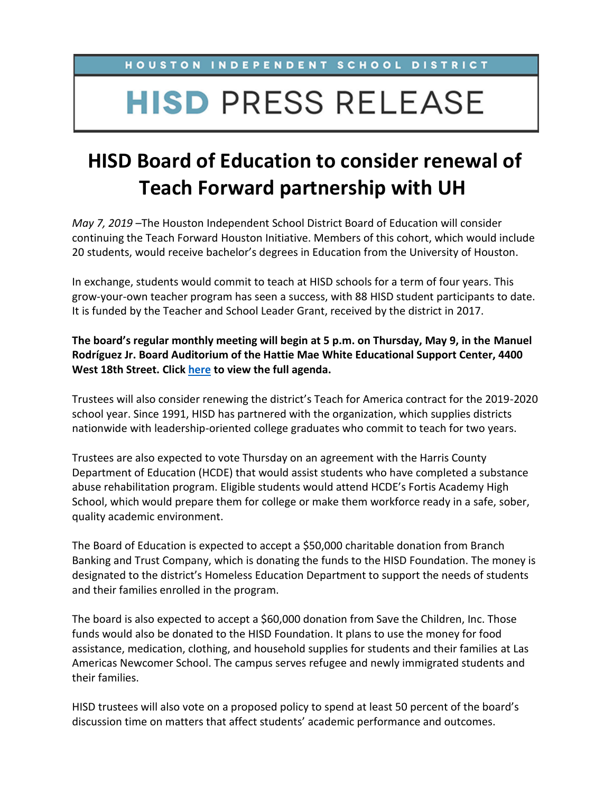HOUSTON INDEPENDENT SCHOOL DISTRICT

## **HISD PRESS RELEASE**

## **HISD Board of Education to consider renewal of Teach Forward partnership with UH**

*May 7, 2019* –The Houston Independent School District Board of Education will consider continuing the Teach Forward Houston Initiative. Members of this cohort, which would include 20 students, would receive bachelor's degrees in Education from the University of Houston.

In exchange, students would commit to teach at HISD schools for a term of four years. This grow-your-own teacher program has seen a success, with 88 HISD student participants to date. It is funded by the Teacher and School Leader Grant, received by the district in 2017.

**The board's regular monthly meeting will begin at 5 p.m. on Thursday, May 9, in the Manuel Rodríguez Jr. Board Auditorium of the Hattie Mae White Educational Support Center, 4400 West 18th Street. Click [here](https://www.houstonisd.org/site/handlers/filedownload.ashx?moduleinstanceid=51135&dataid=246997&FileName=050919OA_POST.pdf) to view the full agenda.**

Trustees will also consider renewing the district's Teach for America contract for the 2019-2020 school year. Since 1991, HISD has partnered with the organization, which supplies districts nationwide with leadership-oriented college graduates who commit to teach for two years.

Trustees are also expected to vote Thursday on an agreement with the Harris County Department of Education (HCDE) that would assist students who have completed a substance abuse rehabilitation program. Eligible students would attend HCDE's Fortis Academy High School, which would prepare them for college or make them workforce ready in a safe, sober, quality academic environment.

The Board of Education is expected to accept a \$50,000 charitable donation from Branch Banking and Trust Company, which is donating the funds to the HISD Foundation. The money is designated to the district's Homeless Education Department to support the needs of students and their families enrolled in the program.

The board is also expected to accept a \$60,000 donation from Save the Children, Inc. Those funds would also be donated to the HISD Foundation. It plans to use the money for food assistance, medication, clothing, and household supplies for students and their families at Las Americas Newcomer School. The campus serves refugee and newly immigrated students and their families.

HISD trustees will also vote on a proposed policy to spend at least 50 percent of the board's discussion time on matters that affect students' academic performance and outcomes.